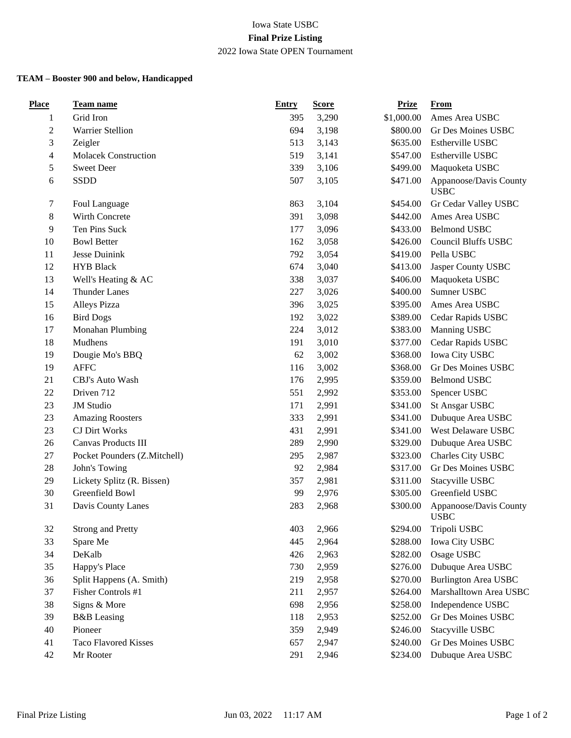## Iowa State USBC **Final Prize Listing** 2022 Iowa State OPEN Tournament

## **TEAM – Booster 900 and below, Handicapped**

| <b>Place</b>   | Team name                    | <b>Entry</b> | <b>Score</b> | <b>Prize</b> | <b>From</b>                           |
|----------------|------------------------------|--------------|--------------|--------------|---------------------------------------|
| 1              | Grid Iron                    | 395          | 3,290        | \$1,000.00   | Ames Area USBC                        |
| $\overline{c}$ | <b>Warrier Stellion</b>      | 694          | 3,198        | \$800.00     | Gr Des Moines USBC                    |
| 3              | Zeigler                      | 513          | 3,143        | \$635.00     | Estherville USBC                      |
| 4              | <b>Molacek Construction</b>  | 519          | 3,141        | \$547.00     | Estherville USBC                      |
| 5              | <b>Sweet Deer</b>            | 339          | 3,106        | \$499.00     | Maquoketa USBC                        |
| 6              | SSDD                         | 507          | 3,105        | \$471.00     | Appanoose/Davis County<br><b>USBC</b> |
| 7              | Foul Language                | 863          | 3,104        | \$454.00     | Gr Cedar Valley USBC                  |
| 8              | Wirth Concrete               | 391          | 3,098        | \$442.00     | Ames Area USBC                        |
| 9              | Ten Pins Suck                | 177          | 3,096        | \$433.00     | <b>Belmond USBC</b>                   |
| 10             | <b>Bowl Better</b>           | 162          | 3,058        | \$426.00     | <b>Council Bluffs USBC</b>            |
| 11             | Jesse Duinink                | 792          | 3,054        | \$419.00     | Pella USBC                            |
| 12             | <b>HYB</b> Black             | 674          | 3,040        | \$413.00     | Jasper County USBC                    |
| 13             | Well's Heating & AC          | 338          | 3,037        | \$406.00     | Maquoketa USBC                        |
| 14             | <b>Thunder Lanes</b>         | 227          | 3,026        | \$400.00     | Sumner USBC                           |
| 15             | Alleys Pizza                 | 396          | 3,025        | \$395.00     | Ames Area USBC                        |
| 16             | <b>Bird Dogs</b>             | 192          | 3,022        | \$389.00     | Cedar Rapids USBC                     |
| 17             | Monahan Plumbing             | 224          | 3,012        | \$383.00     | Manning USBC                          |
| 18             | Mudhens                      | 191          | 3,010        | \$377.00     | Cedar Rapids USBC                     |
| 19             | Dougie Mo's BBQ              | 62           | 3,002        | \$368.00     | Iowa City USBC                        |
| 19             | <b>AFFC</b>                  | 116          | 3,002        | \$368.00     | Gr Des Moines USBC                    |
| 21             | CBJ's Auto Wash              | 176          | 2,995        | \$359.00     | <b>Belmond USBC</b>                   |
| 22             | Driven 712                   | 551          | 2,992        | \$353.00     | Spencer USBC                          |
| 23             | <b>JM</b> Studio             | 171          | 2,991        | \$341.00     | <b>St Ansgar USBC</b>                 |
| 23             | <b>Amazing Roosters</b>      | 333          | 2,991        | \$341.00     | Dubuque Area USBC                     |
| 23             | <b>CJ</b> Dirt Works         | 431          | 2,991        | \$341.00     | West Delaware USBC                    |
| 26             | Canvas Products III          | 289          | 2,990        | \$329.00     | Dubuque Area USBC                     |
| 27             | Pocket Pounders (Z.Mitchell) | 295          | 2,987        | \$323.00     | Charles City USBC                     |
| 28             | John's Towing                | 92           | 2,984        | \$317.00     | Gr Des Moines USBC                    |
| 29             | Lickety Splitz (R. Bissen)   | 357          | 2,981        | \$311.00     | Stacyville USBC                       |
| 30             | Greenfield Bowl              | 99           | 2,976        | \$305.00     | Greenfield USBC                       |
| 31             | Davis County Lanes           | 283          | 2,968        | \$300.00     | Appanoose/Davis County<br><b>USBC</b> |
| 32             | <b>Strong and Pretty</b>     | 403          | 2,966        | \$294.00     | Tripoli USBC                          |
| 33             | Spare Me                     | 445          | 2,964        | \$288.00     | Iowa City USBC                        |
| 34             | DeKalb                       | 426          | 2,963        | \$282.00     | Osage USBC                            |
| 35             | Happy's Place                | 730          | 2,959        | \$276.00     | Dubuque Area USBC                     |
| 36             | Split Happens (A. Smith)     | 219          | 2,958        | \$270.00     | <b>Burlington Area USBC</b>           |
| 37             | Fisher Controls #1           | 211          | 2,957        | \$264.00     | Marshalltown Area USBC                |
| 38             | Signs & More                 | 698          | 2,956        | \$258.00     | Independence USBC                     |
| 39             | <b>B&amp;B</b> Leasing       | 118          | 2,953        | \$252.00     | Gr Des Moines USBC                    |
| 40             | Pioneer                      | 359          | 2,949        | \$246.00     | Stacyville USBC                       |
| 41             | <b>Taco Flavored Kisses</b>  | 657          | 2,947        | \$240.00     | Gr Des Moines USBC                    |
| 42             | Mr Rooter                    | 291          | 2,946        | \$234.00     | Dubuque Area USBC                     |